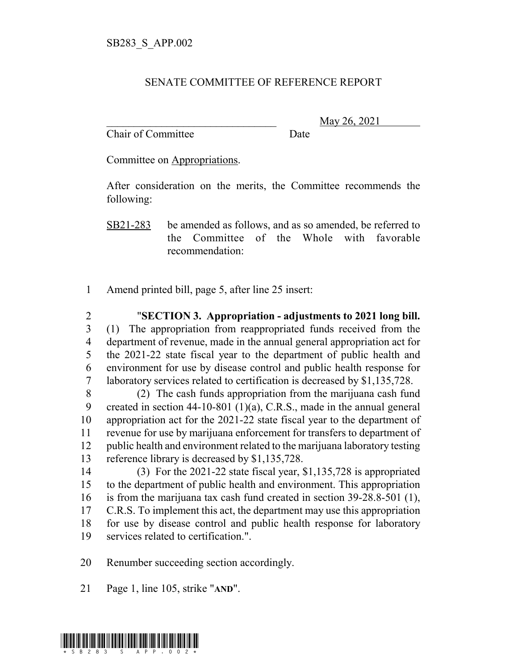## SENATE COMMITTEE OF REFERENCE REPORT

Chair of Committee Date

\_\_\_\_\_\_\_\_\_\_\_\_\_\_\_\_\_\_\_\_\_\_\_\_\_\_\_\_\_\_\_ May 26, 2021

Committee on Appropriations.

After consideration on the merits, the Committee recommends the following:

SB21-283 be amended as follows, and as so amended, be referred to the Committee of the Whole with favorable recommendation:

Amend printed bill, page 5, after line 25 insert:

 "**SECTION 3. Appropriation - adjustments to 2021 long bill.** (1) The appropriation from reappropriated funds received from the department of revenue, made in the annual general appropriation act for the 2021-22 state fiscal year to the department of public health and environment for use by disease control and public health response for laboratory services related to certification is decreased by \$1,135,728.

 (2) The cash funds appropriation from the marijuana cash fund created in section 44-10-801 (1)(a), C.R.S., made in the annual general appropriation act for the 2021-22 state fiscal year to the department of revenue for use by marijuana enforcement for transfers to department of public health and environment related to the marijuana laboratory testing reference library is decreased by \$1,135,728.

 (3) For the 2021-22 state fiscal year, \$1,135,728 is appropriated to the department of public health and environment. This appropriation is from the marijuana tax cash fund created in section 39-28.8-501 (1), 17 C.R.S. To implement this act, the department may use this appropriation for use by disease control and public health response for laboratory services related to certification.".

Renumber succeeding section accordingly.

Page 1, line 105, strike "**AND**".